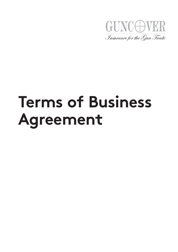

# **Terms of Business Agreement**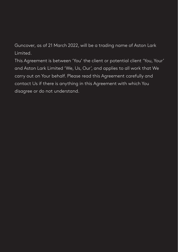Guncover, as of 21 March 2022, will be a trading name of Aston Lark Limited.

This Agreement is between 'You' the client or potential client 'You, Your' and Aston Lark Limited 'We, Us, Our', and applies to all work that We carry out on Your behalf. Please read this Agreement carefully and contact Us if there is anything in this Agreement with which You disagree or do not understand.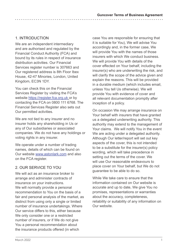# 1. INTRODUCTION

We are an independent intermediary and are authorised and regulated by the Financial Conduct Authority (FCA) and bound by its rules in respect of insurance distribution activities. Our Financial Services register number is 307663 and Our registered address is 8th Floor Ibex House, 42-47 Minories, London, United Kingdom, EC3N 1DY.

You can check this on the Financial Services Register by visiting the FCA's website https://register.fca.org.uk or by contacting the FCA on 0800 111 6768. The Financial Services Register also sets out Our permitted activities.

We are not tied to any insurer and no insurer holds any shareholding in Us or any of Our subsidiaries or associated companies. We do not have any holdings or voting rights in any insurer.

We operate under a number of trading names, details of which can be found on Our website www.astonlark.com and also on the FCA register.

# 2. OUR SERVICE TO YOU

We will act as an insurance broker to arrange and administer contracts of insurance on your instructions. We will normally provide a personal recommendation to You on the basis of a fair and personal analysis of the market, as distinct from using only a single or limited number of insurance undertakings. Where Our service differs to this, either because We only consider one or a restricted number of insurers, or if We do not give You a personal recommendation about the insurance products offered (in which

case You are responsible for ensuring that it is suitable for You), We will advise You accordingly and, in the former case, We will provide You with the names of those insurers with which We conduct business. We will provide You with details of the cover effected on Your behalf, including the insurer(s) who are underwriting the risk, and will clarify the scope of the advice given and explain the reasons. This will be provided in a durable medium (which includes email, unless You tell Us otherwise). We will provide You with evidence of cover and all relevant documentation promptly after inception of a policy.

On occasion We may arrange insurance on Your behalf with insurers that have granted us a delegated underwriting authority. This authority may extend to the management of Your claims. We will notify You in the event We are acting under a delegated authority. Although Our letter/report will set out key aspects of the cover, this is not intended to be a substitute for the insurer(s) policy wording, which will take precedence in setting out the terms of the cover. We will use Our reasonable endeavours to place cover on Your behalf, but We do not guarantee to be able to do so.

While We take care to ensure that the information contained on Our website is accurate and up to date, We give You no promises, representations or warranties about the accuracy, completeness, reliability or suitability of any information on Our website.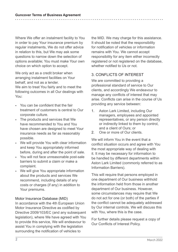Where We offer an instalment facility to You in order to pay Your insurance premium by regular instalments, We do not offer advice in relation to this, but We may ask some questions to narrow down the selection of options available; You must make Your own choice on which option to accept.

We only act as a credit broker when arranging instalment facilities on Your behalf, and not as a lender. We aim to treat You fairly and to meet the following outcomes in all Our dealings with You:

- You can be confident that the fair treatment of customers is central to Our corporate culture.
- The products and services that We have recommended to You and You have chosen are designed to meet Your insurance needs as far as reasonably possible.
- We will provide You with clear information and keep You appropriately informed before, during and after the point of sale.
- You will not face unreasonable post-sale barriers to submit a claim or make a complaint.
- We will give You appropriate information about the products and services We recommend, including details of any costs or charges (if any) in addition to Your premiums.

## Motor Insurance Database (MID)

In accordance with the 4th European Union Motor Insurance Directive as codified by Directive 2009/103/EC (and any subsequent legislation), where We have agreed with You to provide this service, We will endeavour to assist You in complying with the legislation surrounding the notification of vehicles to

the MID. We may charge for this assistance. It should be noted that the responsibility for notification of vehicles or information remains with You. We cannot accept responsibility for any item either incorrectly registered or not registered on the database, whether notified to Us or not.

# 3. CONFLICTS OF INTEREST

We are committed to providing a professional standard of service to Our clients, and accordingly We endeavour to manage any conflicts of interest that may arise. Conflicts can arise in the course of Us providing any service between:

- 1. Aston Lark Limited, including Our managers, employees and appointed representatives, or any person directly or indirectly linked to them by control, and a client of Ours; or
- 2. One or more of Our clients

We will inform You in the event that a conflict situation occurs and agree with You the most appropriate way of dealing with it. It may be necessary for information to be handled by different departments within Aston Lark Limited (commonly referred to as Information Barriers).

This will require that persons employed in one department of Our business withhold the information held from those in another department of Our business. However, some circumstances may require that We do not act for one (or both) of the parties if the conflict cannot be adequately addressed by Our internal controls. We will discuss this with You, where this is the case.

For further details please request a copy of Our Conflicts of Interest Policy.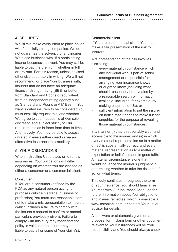# 4. SECURITY

Whilst We make every effort to place cover with financially strong companies, We do not guarantee the solvency of any insurer We place business with. If a participating insurer becomes insolvent, You may still be liable to pay the premium, whether in full or pro-rata. For this reason, unless advised otherwise separately in writing, We will not recommend, or place Your business with, insurers that do not have an adequate financial strength rating (BBB- or better from Standard and Poor's or equivalent) from an independent rating agency such as Standard and Poor's or A M Best. If You want unrated insurers to be considered You must explicitly request this, and whether We agree to such request is at Our sole discretion and subject strictly to Our requirements as in force from time to time. Alternatively, You may be able to access unrated insurers either direct or via an alternative Insurance Intermediary.

# 5. YOUR OBLIGATIONS

When instructing Us to place or to renew insurances, Your obligations will differ depending on whether You are classed as either a consumer or a commercial client.

## Consumer

If You are a consumer (defined by the FCA as any natural person acting for purposes outside his trade, business or profession) You must use reasonable care not to make a misrepresentation to insurers (which includes a failure to comply with the insurer's request to confirm or amend particulars previously given). Failure to comply with this duty may mean that the policy is void and the insurer may not be liable to pay all or some of Your claim(s).

#### Commercial client

If You are a commercial client, You must make a fair presentation of the risk to insurers.

A fair presentation of the risk involves disclosing:

- every material circumstance which any individual who is part of senior management or responsible for arranging your insurance knows or ought to know (including what should reasonably be revealed by a reasonable search of information available, including, for example, by making enquiries of Us); or
- sufficient information to put the insurer on notice that it needs to make further enquiries for the purpose of revealing those material circumstances,

in a manner (i) that is reasonably clear and accessible to the insurer, and (ii) in which every material representation as to a matter of fact is substantially correct, and every material representation as to a matter of expectation or belief is made in good faith. A material circumstance is one that would influence the insurer's judgment in determining whether to take the risk and, if so, on what terms.

This duty continues throughout the term of Your insurance. You should familiarise Yourself with Our Insurance Act guide for further information about Your obligations and insurer remedies, which is available at www.astonlark.com, or contact Your usual advisor for details.

All answers or statements given on a proposal form, claim form or other document relevant to Your insurances will be Your responsibility and You should always check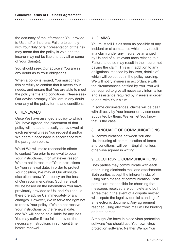the accuracy of the information You provide to Us and/ or insurers. Failure to comply with Your duty of fair presentation of the risk may mean that the policy is void and the insurer may not be liable to pay all or some of Your claim(s).

You should seek Our advice if You are in any doubt as to Your obligations.

When a policy is issued, You must check this carefully to confirm that it meets Your needs, and ensure that You are able to meet the policy terms and conditions. Please seek Our advice promptly if You are in any doubt over any of the policy terms and conditions

## 6. RENEWALS

Once We have arranged a policy to which You have agreed, the placement of that policy will not automatically be reviewed at each renewal unless You request it and/or We deem it necessary in accordance with the paragraph below.

Whilst We will make reasonable efforts to contact You prior to renewal to obtain Your instructions, if for whatever reason We are not in receipt of Your instructions by Your renewal date, in order to protect Your position, We may at Our absolute discretion renew Your policy on the basis of Our recommendation. Such renewal will be based on the information You have previously provided to Us, and You should therefore advise Us immediately of any changes. However, We reserve the right not to renew Your policy if We do not receive Your instructions by the renewal date, and We will not be held liable for any loss You may suffer if You fail to provide the necessary instructions in sufficient time before renewal.

## 7. CLAIMS

You must tell Us as soon as possible of any incident or circumstance which may result in a claim under any insurance arranged by Us and of all relevant facts relating to it. Failure to do so may result in the insurer not paying the claim. This is in addition to any obligations imposed by insurers, details of which will be set out in the policy wording. We will notify insurers in accordance with the circumstances notified by You. You will be required to give all necessary information and assistance required by insurers in order to deal with Your claim.

In some circumstances, claims will be dealt with directly by Your insurer or by someone appointed by them. We will let You know if that is the case.

# 8. LANGUAGE OF COMMUNICATIONS

All communications between You and Us, including all communication of terms and conditions, will be in English, unless otherwise agreed in writing.

# 9. ELECTRONIC COMMUNICATIONS

Both parties may communicate with each other using electronic mail and attachments. Both parties accept the inherent risks of using such means of communication. Both parties are responsible for checking that messages received are complete and both agree that in the event of a dispute neither will dispute the legal evidential standing of an electronic document. Any agreement reached using electronic mail will be binding on both parties.

Although We have in place virus protection software You should use Your own virus protection software. Neither We nor You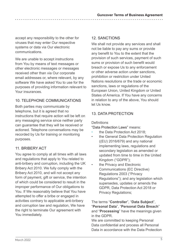accept any responsibility to the other for viruses that may enter Our respective systems or data via Our electronic communications.

We are unable to accept instructions from You by means of text messages or other electronic messages or messages received other than via Our corporate email addresses or, where relevant, by any software We have asked You to use for the purposes of providing information relevant to Your insurances.

# 10. TELEPHONE COMMUNICATIONS

Both parties may communicate by telephone, but it is agreed that no instructions that require action will be left on any messaging service since neither party can guarantee that they will be received or actioned. Telephone conversations may be recorded by Us for training or monitoring purposes.

# 11. BRIBERY ACT

You agree to comply at all times with all laws and regulations that apply to You related to anti-bribery and corruption, including the UK Bribery Act 2010. We fully comply with the Bribery Act 2010, and will not accept any form of payment, gift or service, the intention of which could be considered to result in the improper performance of Our obligations to You. If We reasonably believe that You have attempted to offer a bribe or engaged in activities contrary to applicable anti-bribery and corruption law and regulation, We have the right to terminate Our agreement with You immediately.

# 12. SANCTIONS

We shall not provide any services and shall not be liable to pay any sums or provide any benefit to You to the extent that the provision of such services, payment of such sums or provision of such benefit would breach or expose Us to any enforcement or other adverse action under sanctions, prohibition or restriction under United Nations resolutions or the trade or economic sanctions, laws or regulations of the European Union, United Kingdom or United States of America. If You have any concerns in relation to any of the above, You should let Us know.

# 13. DATA PROTECTION

Definitions

"Data Protection Laws" means:

- the Data Protection Act 2018:
- the General Data Protection Regulation ((EU) 2016/679) and any national implementing laws, regulations and secondary legislation as amended or updated from time to time in the United Kingdom ("GDPR");
- the Privacy and Electronic Communications (EC Directive) Regulations 2003 ("Privacy Regulations"); and any legislation which supersedes, updates or amends the GDPR, Data Protection Act 2018 or Privacy Regulations;

The terms "**Controller**", "**Data Subject**", "**Personal Data**", "**Personal Data Breach**" and "**Processing**" have the meanings given in the GDPR.

We are committed to keeping Personal Data confidential and process all Personal Data in accordance with the Data Protection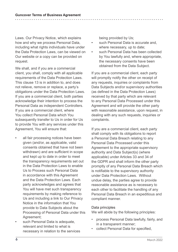Laws. Our Privacy Notice, which explains how and why we process Personal Data, including what rights individuals have under the Data Protection Laws, can be viewed on Our website or a copy can be provided on request.

We shall, and if you are a commercial client, you shall, comply with all applicable requirements of the Data Protection Laws. This clause 13 is in addition to, and does not relieve, remove or replace, a party's obligations under the Data Protection Laws. If you are a commercial client, both parties acknowledge their intention to process the Personal Data as independent Controllers. If you are a commercial client, where You collect Personal Data which You subsequently transfer to Us in order for Us to provide You with any services under this Agreement, You will ensure that:

- all fair processing notices have been given (and/or, as applicable, valid consents obtained that have not been withdrawn) and are sufficient in scope and kept up to date in order to meet the transparency requirements set out in the Data Protection Laws to enable Us to Process such Personal Data in accordance with this Agreement and the Data Protection Laws. Each party acknowledges and agrees that You will have met such transparency requirements by making reference to Us and including a link to Our Privacy Notice in the information that You provide to Data Subjects about the Processing of Personal Data under this Agreement;
- such Personal Data is adequate, relevant and limited to what is necessary in relation to the services

being provided by Us;

- such Personal Data is accurate and. where necessary, up to date;
- such Personal Data has been collected by You lawfully and, where appropriate, the necessary consents have been obtained from the Data Subject.

If you are a commercial client, each party will promptly notify the other on receipt of any requests, inquiries or complaints from Data Subjects and/or supervisory authorities (as defined in the Data Protection Laws) received by that party which are relevant to any Personal Data Processed under this Agreement and will provide the other party with reasonable assistance, upon request, in dealing with any such requests, inquiries or complaints.

If you are a commercial client, each party shall comply with its obligations to report a Personal Data Breach relating to any Personal Data Processed under this Agreement to the appropriate supervisory authority and Data Subject(s) (where applicable) under Articles 33 and 34 of the GDPR and shall inform the other party promptly of any Personal Data Breach which is notifiable to the supervisory authority under Data Protection Laws. Without undue delay, the parties agree to provide reasonable assistance as is necessary to each other to facilitate the handling of any Personal Data Breach in an expeditious and compliant manner.

#### Data principles

We will abide by the following principles:

- process Personal Data lawfully, fairly, and in a transparent manner;
- collect Personal Data for specified,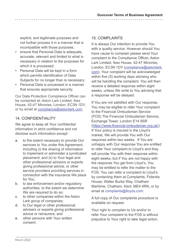explicit, and legitimate purposes and not further process it in a manner that is incompatible with those purposes;

- ensure that Personal Data is adequate. accurate, relevant and limited to what is necessary in relation to the purposes for which it is processed;
- Personal Data will be kept in a form which permits identification of Data Subjects for no longer than is necessary;
- Personal Data is processed in a manner that ensures appropriate security.

Our Data Protection Compliance Officer can be contacted at; Aston Lark Limited, Ibex House, 42-47 Minories, London, EC3N 1DY, or by email at compliance@astonlark.com.

# 14. CONFIDENTIALITY

We agree to keep all Your confidential information in strict confidence and not disclose such information except:

- a. to the extent necessary to provide Our services to You under this Agreement, including (i) the sharing of information to implement or administer a syndicated placement; and (ii) to Your legal and other professional advisors or experts giving professional advice, or other service providers providing services in connection with the insurance We place for You;
- b. to law enforcement and/or regulatory authorities, to the extent we determine We are required to do so:
- c. to other companies within the Aston Lark group of companies;
- d. to Our legal or other professional advisers or experts giving professional advice or reinsurers; and
- e. other persons with Your written consent.

# 15. COMPLAINTS

It is always Our intention to provide You with a quality service. However should You have cause to complain please send Your complaint to the Compliance Officer, Aston Lark Limited, Ibex House, 42-47 Minories, London, EC3N 1DY (compliance@astonlark. com). Your complaint will be acknowledged within five (5) working days advising who will be handling the complaint. You will then receive a detailed response within eight weeks, unless We write to You advising that a response will be delayed.

If You are not satisfied with Our response, You may be eligible to refer Your complaint to the Financial Ombudsman Service (FOS) The Financial Ombudsman Service, Exchange Tower, London E14 9SR (https://www.financial-ombudsman.org.uk/). If Your policy is insured in the Lloyd's market, We will provide You with Our response within two weeks. If You are unhappy with Our response You are entitled to refer Your complaint to Lloyd's and they will provide You with their response within eight weeks, but if You are not happy with the response You get from Lloyd's, You may be entitled to refer the matter to the FOS. You can refer a complaint to Lloyd's by contacting them at Complaints, Fidentia House, Walter Burke Way, Chatham Maritime, Chatham, Kent, ME4 4RN, or by email at complaints@lloyds.com.

A full copy of Our complaints procedure is available on request.

Your right to complain to Us and/or to refer Your complaint to the FOS is without prejudice to Your right to take legal action.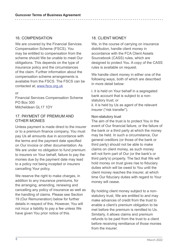## 16. COMPENSATION

We are covered by the Financial Services Compensation Scheme (FSCS). You may be entitled to compensation from the scheme should We be unable to meet Our obligations. This depends on the type of insurance policy and the circumstances of the claim. Further information about the compensation scheme arrangements is available from the FSCS. The FSCS can be contacted at; www.fscs.org.uk

or

Financial Services Compensation Scheme PO Box 300 Mitcheldean GL17 1DY

## 17. PAYMENT OF PREMIUM AND OTHER MONIES

Unless payment is made direct to the insurer or to a premium finance company, You must pay Us all amounts due in accordance with the terms and the payment date specified on Our invoice or other documentation. As We are under no obligation to fund premium to insurers on Your behalf, failure to pay the monies due by the payment date may lead to a policy not being incepted or insurers cancelling Your policy.

We reserve the right to make charges, in addition to any insurance premiums, for the arranging, amending, renewing and cancelling any policy of insurance as well as the handling of claims. Please see Section 19 (Our Remuneration) below for further details in respect of this. However, You will not incur a liability to pay a fee unless We have given You prior notice of this.

## 18. CLIENT MONEY

We, in the course of carrying on insurance distribution, handle client money in accordance with the FCA Client Assets Sourcebook (CASS) rules, which are designed to protect You. A copy of the CASS rules is available on request.

We handle client money in either one of the following ways, both of which are described in more detail below:

i. it is held on Your behalf in a segregated bank account that is subject to a nonstatutory trust; or ii. it is held by Us as agent of the relevant insurer ("risk transfer").

#### Non-statutory trust

The aim of the trust is to protect You in the event of Our financial failure, or the failure of the bank or a third party at which the money may be held. In such a circumstance, Our general creditors (or those of the bank or third party) should not be able to make claims on client money, as such money will not form part of Our (or the bank's or third party's) property. The fact that We will hold money on trust gives rise to fiduciary duties which will be owed to You until the client money reaches the insurer, at which time Our fiduciary duties with regard to Your money will cease.

By holding client money subject to a nonstatutory trust, We are entitled to and may make advances of credit from the trust to enable a client's premium obligation to be met before the premium is remitted to Us. Similarly, it allows claims and premium refunds to be paid from the trust to a client before receiving remittance of those monies from the insurer.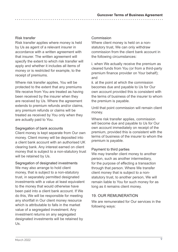#### Risk transfer

Risk transfer applies where money is held by Us as agent of a relevant insurer in accordance with a written agreement with that insurer. The written agreement will specify the extent to which risk transfer will apply and whether it includes all items of money or is restricted for example, to the receipt of premiums.

Where risk transfer applies, You will be protected to the extent that any premiums We receive from You are treated as having been received by the insurer when they are received by Us. Where the agreement extends to premium refunds and/or claims, any premium refunds or claims will be treated as received by You only when they are actually paid to You.

#### Segregation of bank accounts

Client money is kept separate from Our own money. Client money will be deposited into a client bank account with an authorised UK clearing bank. Any interest earned on client money that is subject to a non-statutory trust will be retained by Us.

Segregation of designated investments We may also arrange to hold client money, that is subject to a non-statutory trust, in separately permitted designated investments with a value at least equivalent to the money that would otherwise have been paid into a client bank account. If We do this, We will be responsible for meeting any shortfall in Our client money resource which is attributable to falls in the market value of a segregated investment. Any investment returns on any segregated designated investments will be retained by Us.

#### Commission

Where client money is held on a nonstatutory trust, We can only withdraw commission from the client bank account in the following circumstances:

i. when We actually receive the premium as cleared funds from You (or from a third-party premium finance provider on Your behalf); and

ii. at the point at which the commission becomes due and payable to Us for Our own account provided this is consistent with the terms of business of the insurer to whom the premium is payable.

Until that point commission will remain client money.

Where risk transfer applies, commission will become due and payable to Us for Our own account immediately on receipt of the premium, provided this is consistent with the terms of business of the insurer to whom the premium is payable.

#### Payment to third parties

We may transfer client money to another person, such as another intermediary, for the purpose of effecting a transaction through that person. Where We transfer client money that is subject to a nonstatutory trust, to another person, We will remain liable to You for such money for as long as it remains client money.

## 19. OUR REMUNERATION

We are remunerated for Our services in the following ways: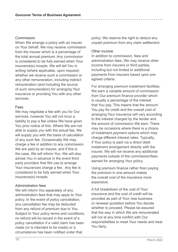#### Commission

When We arrange a policy with an insurer on Your behalf, We may receive commission from the insurer which is a percentage of the total annual premium. Any commission is considered to be fully earned when Your insurance(s) incepts. We will tell You in writing (where applicable, upon request) whether we receive such a commission or any other remuneration, including indirect remuneration (and including the source of such remuneration) for arranging Your insurance or providing You with any other services.

#### Fees

We may negotiate a fee with you for Our services, however You will not incur a liability to pay a fee unless We have given You prior notice of this. Where We are not able to supply you with the actual fee, We will supply you with the basis of calculation of any such fee. Occasionally We may charge a fee in addition to any commission We are paid by an insurer, and if this is the case, We will inform You. We will also advise You in advance in the event third party providers that We use to arrange Your insurances charge a fee. Any fee is considered to be fully earned when Your insurance(s) incepts.

#### Administration fees

We will inform You separately of any administration fees that may apply to Your policy. In the event of policy cancellation, any cancellation fee may be deducted from any refund of premium due to You. Subject to Your policy terms and conditions, no refund will be issued in the event of a policy cancellation if a valid claim has been made (or is intended to be made) or a circumstance has been notified under that

policy. We reserve the right to deduct any unpaid premium from any claim settlement.

#### Other income

In addition to commission, fees and administration fees, We may receive other income from insurers or third parties, including but not limited to additional payments from insurers based upon preagreed criteria.

For arranging premium instalment facilities, We earn a variable amount of commission from Our premium finance provider which is usually a percentage of the interest that You pay. This means that the amount You pay for credit and the overall cost of arranging Your insurance will vary according to the interest charged by the lender and the amount of commission We earn. There may be occasions where there is a choice of instalment payment options which may charge different interest rates. Typically, if Your policy is paid via a direct debit instalment arrangement directly with the insurer, We will not receive any additional payments outside of the commission/fees earned for arranging Your policy.

Using premium finance rather than paying the premium in one amount makes the overall cost of the insurance more expensive.

A full breakdown of the cost of Your insurance and the cost of credit will be provided as part of Your new business or renewal quotation before You decide whether to proceed. Please be assured that the way in which We are remunerated will not at any time conflict with Our responsibilities to meet Your needs and treat You fairly.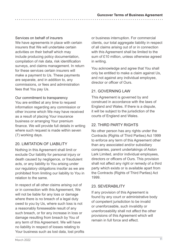#### Services on behalf of insurers

We have agreements in place with certain insurers that We will undertake certain activities on their behalf which may include producing policy documentation, compilation of risk data, risk identification surveys, and claims management. In return for these services certain insurers will make a payment to Us. These payments are separate, and in addition to, any commissions, or fees and administration fees that You pay Us.

#### Our commitment to transparency

You are entitled at any time to request information regarding any commission or other income which We may have received as a result of placing Your insurance business or arranging Your premium finance. We will provide full details in writing where such request is made within seven (7) working days.

# 20. LIMITATION OF LIABILITY

Nothing in this Agreement shall limit or exclude Our liability for personal injury or death caused by negligence, or fraudulent acts, or any liability to You arising under our regulatory obligations insofar as we are prohibited from limiting our liability to You in relation to the same.

In respect of all other claims arising out of or in connection with this Agreement, We will not be liable for any loss or damage where there is no breach of a legal duty owed to you by Us, where such loss is not a reasonably foreseeable result of any such breach, or for any increase in loss or damage resulting from breach by You of any term of this Agreement. We will have no liability in respect of losses relating to Your business such as lost data, lost profits or business interruption. For commercial clients, our total aggregate liability in respect of all claims arising out of or in connection with this Agreement shall be limited to the sum of £10 million, unless otherwise agreed in writing.

You acknowledge and agree that You shall only be entitled to make a claim against Us, and not against any individual employee, director or officer of Ours.

## 21. GOVERNING LAW

This Agreement is governed by and construed in accordance with the laws of England and Wales. If there is a dispute, it will be subject to the jurisdiction of the courts of England and Wales.

## 22. THIRD PARTY RIGHTS

No other person has any rights under the Contracts (Rights of Third Parties) Act 1999 to enforce any term of this Agreement other than any associated and/or subsidiary companies, parent undertakings of Aston Lark Limited, and/or individual employees, directors or officers of Ours. This provision shall not affect any right or remedy of a third party which exists or is available apart from the Contracts (Rights of Third Parties) Act 1999.

## 23. SEVERABILITY

If any provision of this Agreement is found by any court or administrative body of competent jurisdiction to be invalid or unenforceable, such invalidity or unenforceability shall not affect the other provisions of this Agreement which will remain in full force and effect.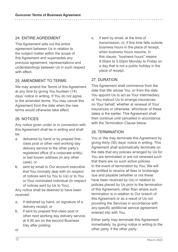# 24. ENTIRE AGREEMENT

This Agreement sets out the entire agreement between Us in relation to the subject matter within the scope of this Agreement and supersedes any previous agreement, representations and understandings between Us in such respect with effect

## 25. AMENDMENT TO TERMS

We may amend the Terms of this Agreement at any time by giving You fourteen (14) days' notice in writing. If You do not agree to the amended terms, You may cancel this Agreement from the date when the new terms would otherwise take effect.

# 26. NOTICES

Any notice given under or in connection with this Agreement shall be in writing and shall be:

- a. delivered by hand or by prepaid firstclass post or other next working day delivery service to the other party's registered office (if a corporate entity) or last known address (in any other case); or
- b. sent by email to Our account executive that You normally deal with (in respect of notices sent by You to Us) or to You or Your nominated individual (in respect of notices sent by Us to You).

Any notice shall be deemed to have been received:

- a. if delivered by hand, on signature of a delivery receipt; or
- b. if sent by prepaid first-class post or other next working day delivery service, at 9.00 am on the second Business Day after posting;

c. if sent by email, at the time of transmission, or, if this time falls outside business hours in the place of receipt, when business hours resume. In this clause, "business hours" means 9.00am to 5.00pm Monday to Friday on a day that is not a public holiday in the place of receipt.

## 27. DURATION

This Agreement shall commence from the date that We advise You, or from the date You appoint Us to act as Your intermediary or You instruct Us to arrange insurances on Your behalf, whether at renewal of Your insurances or otherwise, whichever of these dates is the earlier. This Agreement shall then continue until cancelled in accordance with the Termination Clause below.

## 28. TERMINATION

You or We may terminate this Agreement by giving thirty (30) days' notice in writing. This Agreement shall automatically terminate on the date that any policies arranged by Us for You are terminated or are not renewed such that there are no such active policies. In the event of termination by You, We will be entitled to receive all fees or brokerage due and payable (whether or not these have been received by Us) in relation to policies placed by Us prior to the termination of this Agreement, other than where such termination is in relation to Our breach of this Agreement or as a result of Us not providing the Services in accordance with any specific additional service agreement entered into with You.

Either party may terminate this Agreement immediately, by giving notice in writing to the other party, if the other party:

or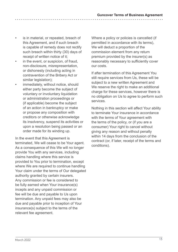- is in material, or repeated, breach of this Agreement, and if such breach is capable of remedy does not rectify such breach within thirty (30) days of receipt of written notice of it;
- in the event, or suspicion, of fraud, non-disclosure, misrepresentation, or dishonesty (including acting in contravention of the Bribery Act or similar legislation):
- immediately, without notice, should either party become the subject of voluntary or involuntary liquidation or administration proceedings or (if applicable) become the subject of an action in bankruptcy or make or propose any composition with creditors or otherwise acknowledge its insolvency, suspend its activities or upon a resolution being passed or an order made for its winding up.

In the event that this Agreement is terminated, We will cease to be Your agent. As a consequence of this We will no longer provide You with any services, including claims handling where this service is provided to You prior to termination, except where We are required to continue handling Your claim under the terms of Our delegated authority granted by certain insurers. Any commission or fee is considered to be fully earned when Your insurance(s) incepts and any unpaid commission or fee will be due and payable to Us upon termination. Any unpaid fees may also be due and payable prior to inception of Your insurance(s) subject to the terms of the relevant fee agreement.

Where a policy or policies is cancelled (if permitted in accordance with its terms), We will deduct a proportion of the commission element from any return premium provided by the insurer(s) as reasonably necessary to sufficiently cover our costs.

If after termination of this Agreement You still require services from Us, these will be subject to a new written Agreement and We reserve the right to make an additional charge for these services, however there is no obligation on Us to agree to perform such services.

Nothing in this section will affect Your ability to terminate Your insurance in accordance with the terms of Your agreement with the terms of the policy, or (if you are a consumer) Your right to cancel without giving any reason and without penalty within 14 days from the conclusion of the contract (or, if later, receipt of the terms and conditions).